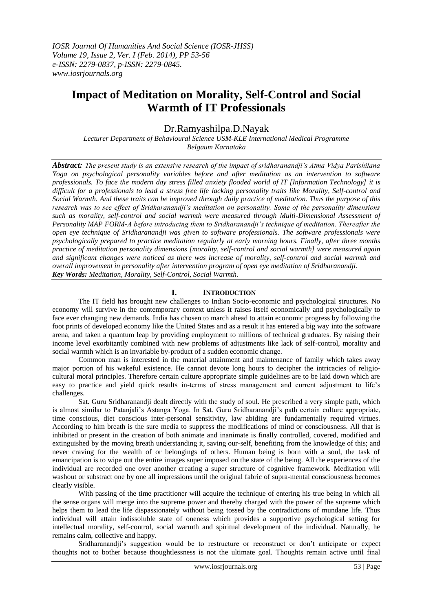# **Impact of Meditation on Morality, Self-Control and Social Warmth of IT Professionals**

# Dr.Ramyashilpa.D.Nayak

*Lecturer Department of Behavioural Science USM-KLE International Medical Programme Belgaum Karnataka*

*Abstract: The present study is an extensive research of the impact of sridharanandji's Atma Vidya Parishilana Yoga on psychological personality variables before and after meditation as an intervention to software professionals. To face the modern day stress filled anxiety flooded world of IT [Information Technology] it is difficult for a professionals to lead a stress free life lacking personality traits like Morality, Self-control and Social Warmth. And these traits can be improved through daily practice of meditation. Thus the purpose of this research was to see effect of Sridharanandji's meditation on personality. Some of the personality dimensions such as morality, self-control and social warmth were measured through Multi-Dimensional Assessment of Personality MAP FORM-A before introducing them to Sridharanandji's technique of meditation. Thereafter the open eye technique of Sridharanandji was given to software professionals. The software professionals were psychologically prepared to practice meditation regularly at early morning hours. Finally, after three months practice of meditation personality dimensions [morality, self-control and social warmth] were measured again and significant changes were noticed as there was increase of morality, self-control and social warmth and overall improvement in personality after intervention program of open eye meditation of Sridharanandji. Key Words: Meditation, Morality, Self-Control, Social Warmth.*

# **I. INTRODUCTION**

The IT field has brought new challenges to Indian Socio-economic and psychological structures. No economy will survive in the contemporary context unless it raises itself economically and psychologically to face ever changing new demands. India has chosen to march ahead to attain economic progress by following the foot prints of developed economy like the United States and as a result it has entered a big way into the software arena, and taken a quantum leap by providing employment to millions of technical graduates. By raising their income level exorbitantly combined with new problems of adjustments like lack of self-control, morality and social warmth which is an invariable by-product of a sudden economic change.

Common man is interested in the material attainment and maintenance of family which takes away major portion of his wakeful existence. He cannot devote long hours to decipher the intricacies of religiocultural moral principles. Therefore certain culture appropriate simple guidelines are to be laid down which are easy to practice and yield quick results in-terms of stress management and current adjustment to life's challenges.

Sat. Guru Sridharanandji dealt directly with the study of soul. He prescribed a very simple path, which is almost similar to Patanjali's Astanga Yoga. In Sat. Guru Sridharanandji's path certain culture appropriate, time conscious, diet conscious inter-personal sensitivity, law abiding are fundamentally required virtues. According to him breath is the sure media to suppress the modifications of mind or consciousness. All that is inhibited or present in the creation of both animate and inanimate is finally controlled, covered, modified and extinguished by the moving breath understanding it, saving our-self, benefiting from the knowledge of this; and never craving for the wealth of or belongings of others. Human being is born with a soul, the task of emancipation is to wipe out the entire images super imposed on the state of the being. All the experiences of the individual are recorded one over another creating a super structure of cognitive framework. Meditation will washout or substract one by one all impressions until the original fabric of supra-mental consciousness becomes clearly visible.

With passing of the time practitioner will acquire the technique of entering his true being in which all the sense organs will merge into the supreme power and thereby charged with the power of the supreme which helps them to lead the life dispassionately without being tossed by the contradictions of mundane life. Thus individual will attain indissoluble state of oneness which provides a supportive psychological setting for intellectual morality, self-control, social warmth and spiritual development of the individual. Naturally, he remains calm, collective and happy.

Sridharanandji's suggestion would be to restructure or reconstruct or don't anticipate or expect thoughts not to bother because thoughtlessness is not the ultimate goal. Thoughts remain active until final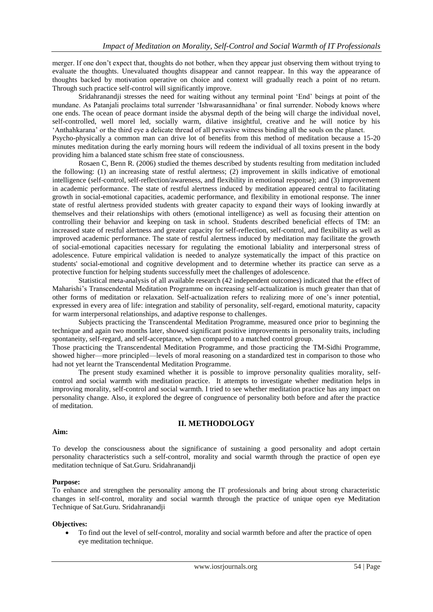merger. If one don't expect that, thoughts do not bother, when they appear just observing them without trying to evaluate the thoughts. Unevaluated thoughts disappear and cannot reappear. In this way the appearance of thoughts backed by motivation operative on choice and context will gradually reach a point of no return. Through such practice self-control will significantly improve.

Sridahranandji stresses the need for waiting without any terminal point 'End' beings at point of the mundane. As Patanjali proclaims total surrender 'Ishwarasannidhana' or final surrender. Nobody knows where one ends. The ocean of peace dormant inside the abysmal depth of the being will charge the individual novel, self-controlled, well morel led, socially warm, dilative insightful, creative and he will notice by his 'Anthahkarana' or the third eye a delicate thread of all pervasive witness binding all the souls on the planet. Psycho-physically a common man can drive lot of benefits from this method of meditation because a 15-20 minutes meditation during the early morning hours will redeem the individual of all toxins present in the body providing him a balanced state schism free state of consciousness.

Rosaen C, Benn R. (2006) studied the themes described by students resulting from meditation included the following: (1) an increasing state of restful alertness; (2) improvement in skills indicative of emotional intelligence (self-control, self-reflection/awareness, and flexibility in emotional response); and (3) improvement in academic performance. The state of restful alertness induced by meditation appeared central to facilitating growth in social-emotional capacities, academic performance, and flexibility in emotional response. The inner state of restful alertness provided students with greater capacity to expand their ways of looking inwardly at themselves and their relationships with others (emotional intelligence) as well as focusing their attention on controlling their behavior and keeping on task in school. Students described beneficial effects of TM: an increased state of restful alertness and greater capacity for self-reflection, self-control, and flexibility as well as improved academic performance. The state of restful alertness induced by meditation may facilitate the growth of social-emotional capacities necessary for regulating the emotional labiality and interpersonal stress of adolescence. Future empirical validation is needed to analyze systematically the impact of this practice on students' social-emotional and cognitive development and to determine whether its practice can serve as a protective function for helping students successfully meet the challenges of adolescence.

Statistical meta-analysis of all available research (42 independent outcomes) indicated that the effect of Maharishi's Transcendental Meditation Programme on increasing self-actualization is much greater than that of other forms of meditation or relaxation. Self-actualization refers to realizing more of one's inner potential, expressed in every area of life: integration and stability of personality, self-regard, emotional maturity, capacity for warm interpersonal relationships, and adaptive response to challenges.

Subjects practicing the Transcendental Meditation Programme, measured once prior to beginning the technique and again two months later, showed significant positive improvements in personality traits, including spontaneity, self-regard, and self-acceptance, when compared to a matched control group.

Those practicing the Transcendental Meditation Programme, and those practicing the TM-Sidhi Programme, showed higher—more principled—levels of moral reasoning on a standardized test in comparison to those who had not yet learnt the Transcendental Meditation Programme.

The present study examined whether it is possible to improve personality qualities morality, selfcontrol and social warmth with meditation practice. It attempts to investigate whether meditation helps in improving morality, self-control and social warmth. I tried to see whether meditation practice has any impact on personality change. Also, it explored the degree of congruence of personality both before and after the practice of meditation.

## **II. METHODOLOGY**

#### **Aim:**

To develop the consciousness about the significance of sustaining a good personality and adopt certain personality characteristics such a self-control, morality and social warmth through the practice of open eye meditation technique of Sat.Guru. Sridahranandji

#### **Purpose:**

To enhance and strengthen the personality among the IT professionals and bring about strong characteristic changes in self-control, morality and social warmth through the practice of unique open eye Meditation Technique of Sat.Guru. Sridahranandji

#### **Objectives:**

 To find out the level of self-control, morality and social warmth before and after the practice of open eye meditation technique.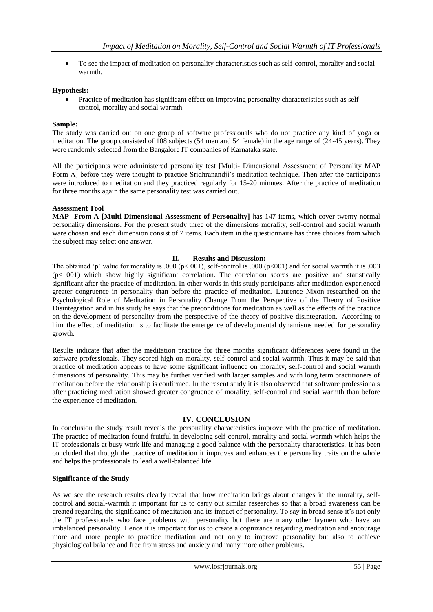To see the impact of meditation on personality characteristics such as self-control, morality and social warmth.

#### **Hypothesis:**

 Practice of meditation has significant effect on improving personality characteristics such as selfcontrol, morality and social warmth.

#### **Sample:**

The study was carried out on one group of software professionals who do not practice any kind of yoga or meditation. The group consisted of 108 subjects (54 men and 54 female) in the age range of (24-45 years). They were randomly selected from the Bangalore IT companies of Karnataka state.

All the participants were administered personality test [Multi- Dimensional Assessment of Personality MAP Form-A] before they were thought to practice Sridhranandji's meditation technique. Then after the participants were introduced to meditation and they practiced regularly for 15-20 minutes. After the practice of meditation for three months again the same personality test was carried out.

#### **Assessment Tool**

**MAP- From-A [Multi-Dimensional Assessment of Personality]** has 147 items, which cover twenty normal personality dimensions. For the present study three of the dimensions morality, self-control and social warmth ware chosen and each dimension consist of 7 items. Each item in the questionnaire has three choices from which the subject may select one answer.

#### **II. Results and Discussion:**

The obtained 'p' value for morality is .000 ( $p<$  001), self-control is .000 ( $p<$  001) and for social warmth it is .003 (p< 001) which show highly significant correlation. The correlation scores are positive and statistically significant after the practice of meditation. In other words in this study participants after meditation experienced greater congruence in personality than before the practice of meditation. Laurence Nixon researched on the Psychological Role of Meditation in Personality Change From the Perspective of the Theory of Positive Disintegration and in his study he says that the preconditions for meditation as well as the effects of the practice on the development of personality from the perspective of the theory of positive disintegration. According to him the effect of meditation is to facilitate the emergence of developmental dynamisms needed for personality growth.

Results indicate that after the meditation practice for three months significant differences were found in the software professionals. They scored high on morality, self-control and social warmth. Thus it may be said that practice of meditation appears to have some significant influence on morality, self-control and social warmth dimensions of personality. This may be further verified with larger samples and with long term practitioners of meditation before the relationship is confirmed. In the resent study it is also observed that software professionals after practicing meditation showed greater congruence of morality, self-control and social warmth than before the experience of meditation.

## **IV. CONCLUSION**

In conclusion the study result reveals the personality characteristics improve with the practice of meditation. The practice of meditation found fruitful in developing self-control, morality and social warmth which helps the IT professionals at busy work life and managing a good balance with the personality characteristics. It has been concluded that though the practice of meditation it improves and enhances the personality traits on the whole and helps the professionals to lead a well-balanced life.

#### **Significance of the Study**

As we see the research results clearly reveal that how meditation brings about changes in the morality, selfcontrol and social-warmth it important for us to carry out similar researches so that a broad awareness can be created regarding the significance of meditation and its impact of personality. To say in broad sense it's not only the IT professionals who face problems with personality but there are many other laymen who have an imbalanced personality. Hence it is important for us to create a cognizance regarding meditation and encourage more and more people to practice meditation and not only to improve personality but also to achieve physiological balance and free from stress and anxiety and many more other problems.